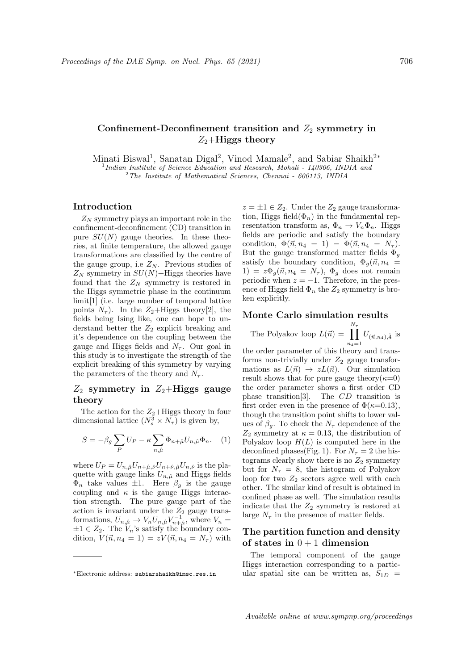# Confinement-Deconfinement transition and  $Z_2$  symmetry in  $Z_2$ +Higgs theory

Minati Biswal<sup>1</sup>, Sanatan Digal<sup>2</sup>, Vinod Mamale<sup>2</sup>, and Sabiar Shaikh<sup>2\*</sup> <sup>1</sup>Indian Institute of Science Education and Research, Mohali - 140306, INDIA and

<sup>2</sup>The Institute of Mathematical Sciences, Chennai - 600113, INDIA

## Introduction

 $Z_N$  symmetry plays an important role in the confinement-deconfinement (CD) transition in pure  $SU(N)$  gauge theories. In these theories, at finite temperature, the allowed gauge transformations are classified by the centre of the gauge group, i.e  $Z_N$ . Previous studies of  $Z_N$  symmetry in  $SU(N)$ +Higgs theories have found that the  $Z_N$  symmetry is restored in the Higgs symmetric phase in the continuum limit[1] (i.e. large number of temporal lattice points  $N_{\tau}$ ). In the  $Z_2$ +Higgs theory[2], the fields being Ising like, one can hope to understand better the  $Z_2$  explicit breaking and it's dependence on the coupling between the gauge and Higgs fields and  $N_{\tau}$ . Our goal in this study is to investigate the strength of the explicit breaking of this symmetry by varying the parameters of the theory and  $N_{\tau}$ .

## $Z_2$  symmetry in  $Z_2$ +Higgs gauge theory

The action for the  $Z_2$ +Higgs theory in four dimensional lattice  $(N_s^3 \times N_\tau)$  is given by,

$$
S = -\beta_g \sum_P U_P - \kappa \sum_{n,\hat{\mu}} \Phi_{n+\hat{\mu}} U_{n,\hat{\mu}} \Phi_n.
$$
 (1)

where  $U_P = U_{n,\hat{\mu}} U_{n+\hat{\mu},\hat{\nu}} U_{n+\hat{\nu},\hat{\mu}} U_{n,\hat{\nu}}$  is the plaquette with gauge links  $U_{n,\hat{\mu}}$  and Higgs fields  $\Phi_n$  take values  $\pm 1$ . Here  $\beta_q$  is the gauge coupling and  $\kappa$  is the gauge Higgs interaction strength. The pure gauge part of the action is invariant under the  $Z_2$  gauge transformations,  $U_{n,\hat{\mu}} \to V_n U_{n,\hat{\mu}} V_{n+\hat{\mu}}^{-1}$ , where  $V_n =$  $\pm 1 \in Z_2$ . The  $V_n$ 's satisfy the boundary condition,  $V(\vec{n}, n_4 = 1) = zV(\vec{n}, n_4 = N_\tau)$  with  $z = \pm 1 \in Z_2$ . Under the  $Z_2$  gauge transformation, Higgs field $(\Phi_n)$  in the fundamental representation transform as,  $\Phi_n \to V_n \Phi_n$ . Higgs fields are periodic and satisfy the boundary condition,  $\Phi(\vec{n}, n_4 = 1) = \Phi(\vec{n}, n_4 = N_\tau)$ . But the gauge transformed matter fields  $\Phi_q$ satisfy the boundary condition,  $\Phi_q(\vec{n}, n_4)$ 1) =  $z\Phi_q(\vec{n}, n_4 = N_\tau)$ ,  $\Phi_q$  does not remain periodic when  $z = -1$ . Therefore, in the presence of Higgs field  $\Phi_n$  the  $Z_2$  symmetry is broken explicitly.

### Monte Carlo simulation results

The Polyakov loop  $L(\vec{n}) = \prod_{n=1}^{N_{\tau}}$  $n_4=1$  $U_{(\vec{n},n_4),\hat{4}}$  is

the order parameter of this theory and transforms non-trivially under  $Z_2$  gauge transformations as  $L(\vec{n}) \rightarrow zL(\vec{n})$ . Our simulation result shows that for pure gauge theory( $\kappa=0$ ) the order parameter shows a first order CD phase transition[3]. The CD transition is first order even in the presence of  $\Phi(\kappa=0.13)$ , though the transition point shifts to lower values of  $\beta_g$ . To check the  $N_\tau$  dependence of the  $Z_2$  symmetry at  $\kappa = 0.13$ , the distribution of Polyakov loop  $H(L)$  is computed here in the deconfined phases(Fig. 1). For  $N_{\tau} = 2$  the histograms clearly show there is no  $Z_2$  symmetry but for  $N_{\tau} = 8$ , the histogram of Polyakov loop for two  $Z_2$  sectors agree well with each other. The similar kind of result is obtained in confined phase as well. The simulation results indicate that the  $Z_2$  symmetry is restored at large  $N_{\tau}$  in the presence of matter fields.

## The partition function and density of states in  $0+1$  dimension

The temporal component of the gauge Higgs interaction corresponding to a particular spatial site can be written as,  $S_{1D}$  =

<sup>∗</sup>Electronic address: sabiarshaikh@imsc.res.in